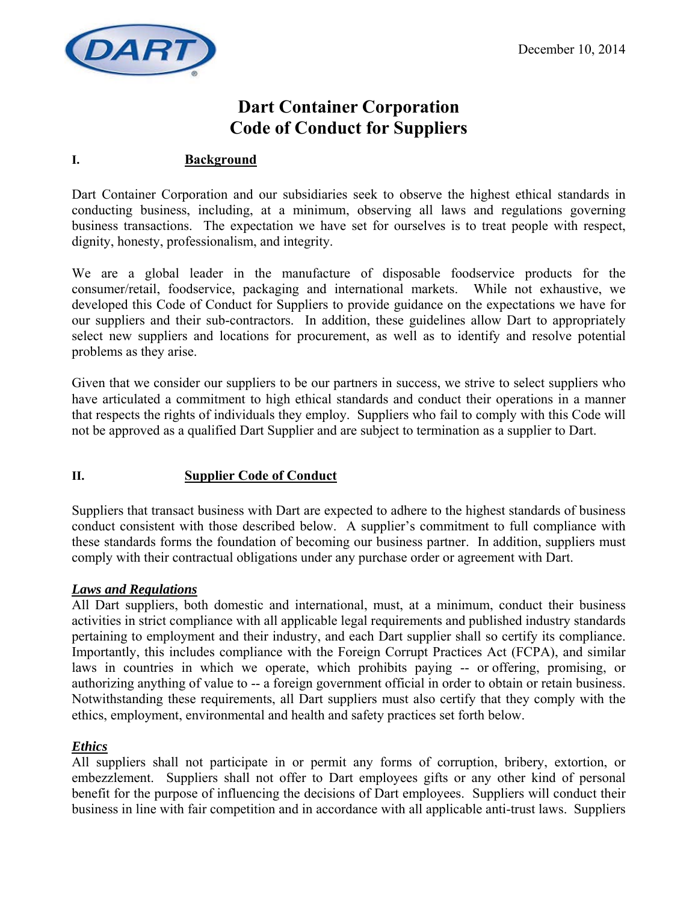

# **Dart Container Corporation Code of Conduct for Suppliers**

## **I. Background**

Dart Container Corporation and our subsidiaries seek to observe the highest ethical standards in conducting business, including, at a minimum, observing all laws and regulations governing business transactions. The expectation we have set for ourselves is to treat people with respect, dignity, honesty, professionalism, and integrity.

We are a global leader in the manufacture of disposable foodservice products for the consumer/retail, foodservice, packaging and international markets. While not exhaustive, we developed this Code of Conduct for Suppliers to provide guidance on the expectations we have for our suppliers and their sub-contractors. In addition, these guidelines allow Dart to appropriately select new suppliers and locations for procurement, as well as to identify and resolve potential problems as they arise.

Given that we consider our suppliers to be our partners in success, we strive to select suppliers who have articulated a commitment to high ethical standards and conduct their operations in a manner that respects the rights of individuals they employ. Suppliers who fail to comply with this Code will not be approved as a qualified Dart Supplier and are subject to termination as a supplier to Dart.

#### **II. Supplier Code of Conduct**

Suppliers that transact business with Dart are expected to adhere to the highest standards of business conduct consistent with those described below. A supplier's commitment to full compliance with these standards forms the foundation of becoming our business partner. In addition, suppliers must comply with their contractual obligations under any purchase order or agreement with Dart.

#### *Laws and Regulations*

All Dart suppliers, both domestic and international, must, at a minimum, conduct their business activities in strict compliance with all applicable legal requirements and published industry standards pertaining to employment and their industry, and each Dart supplier shall so certify its compliance. Importantly, this includes compliance with the Foreign Corrupt Practices Act (FCPA), and similar laws in countries in which we operate, which prohibits paying -- or offering, promising, or authorizing anything of value to -- a foreign government official in order to obtain or retain business. Notwithstanding these requirements, all Dart suppliers must also certify that they comply with the ethics, employment, environmental and health and safety practices set forth below.

#### *Ethics*

All suppliers shall not participate in or permit any forms of corruption, bribery, extortion, or embezzlement. Suppliers shall not offer to Dart employees gifts or any other kind of personal benefit for the purpose of influencing the decisions of Dart employees. Suppliers will conduct their business in line with fair competition and in accordance with all applicable anti-trust laws. Suppliers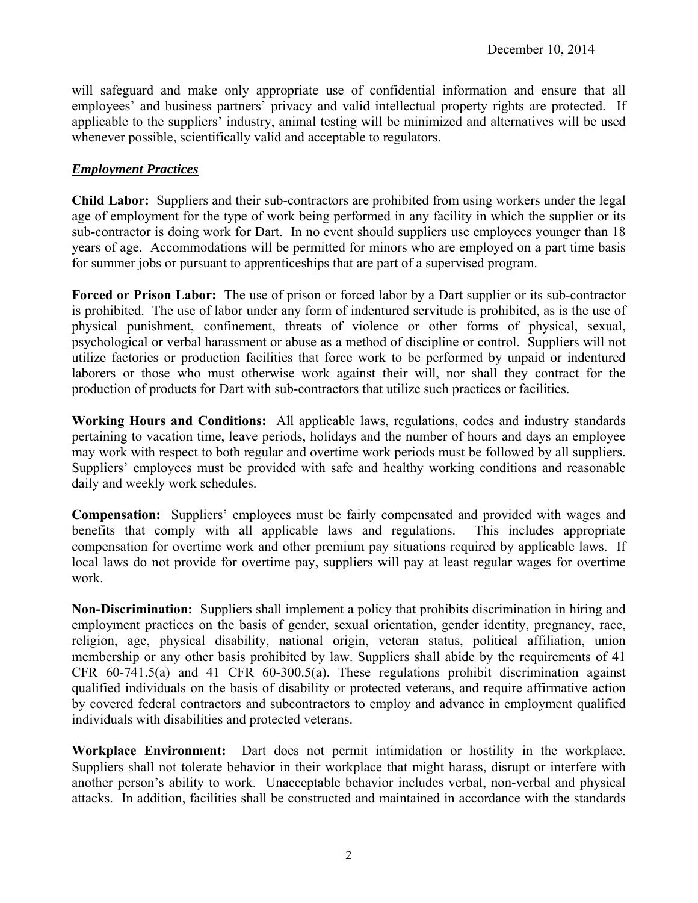will safeguard and make only appropriate use of confidential information and ensure that all employees' and business partners' privacy and valid intellectual property rights are protected. If applicable to the suppliers' industry, animal testing will be minimized and alternatives will be used whenever possible, scientifically valid and acceptable to regulators.

#### *Employment Practices*

**Child Labor:** Suppliers and their sub-contractors are prohibited from using workers under the legal age of employment for the type of work being performed in any facility in which the supplier or its sub-contractor is doing work for Dart. In no event should suppliers use employees younger than 18 years of age. Accommodations will be permitted for minors who are employed on a part time basis for summer jobs or pursuant to apprenticeships that are part of a supervised program.

**Forced or Prison Labor:** The use of prison or forced labor by a Dart supplier or its sub-contractor is prohibited. The use of labor under any form of indentured servitude is prohibited, as is the use of physical punishment, confinement, threats of violence or other forms of physical, sexual, psychological or verbal harassment or abuse as a method of discipline or control. Suppliers will not utilize factories or production facilities that force work to be performed by unpaid or indentured laborers or those who must otherwise work against their will, nor shall they contract for the production of products for Dart with sub-contractors that utilize such practices or facilities.

**Working Hours and Conditions:** All applicable laws, regulations, codes and industry standards pertaining to vacation time, leave periods, holidays and the number of hours and days an employee may work with respect to both regular and overtime work periods must be followed by all suppliers. Suppliers' employees must be provided with safe and healthy working conditions and reasonable daily and weekly work schedules.

**Compensation:** Suppliers' employees must be fairly compensated and provided with wages and benefits that comply with all applicable laws and regulations. This includes appropriate compensation for overtime work and other premium pay situations required by applicable laws. If local laws do not provide for overtime pay, suppliers will pay at least regular wages for overtime work.

**Non-Discrimination:** Suppliers shall implement a policy that prohibits discrimination in hiring and employment practices on the basis of gender, sexual orientation, gender identity, pregnancy, race, religion, age, physical disability, national origin, veteran status, political affiliation, union membership or any other basis prohibited by law. Suppliers shall abide by the requirements of 41 CFR 60-741.5(a) and 41 CFR 60-300.5(a). These regulations prohibit discrimination against qualified individuals on the basis of disability or protected veterans, and require affirmative action by covered federal contractors and subcontractors to employ and advance in employment qualified individuals with disabilities and protected veterans.

**Workplace Environment:** Dart does not permit intimidation or hostility in the workplace. Suppliers shall not tolerate behavior in their workplace that might harass, disrupt or interfere with another person's ability to work. Unacceptable behavior includes verbal, non-verbal and physical attacks. In addition, facilities shall be constructed and maintained in accordance with the standards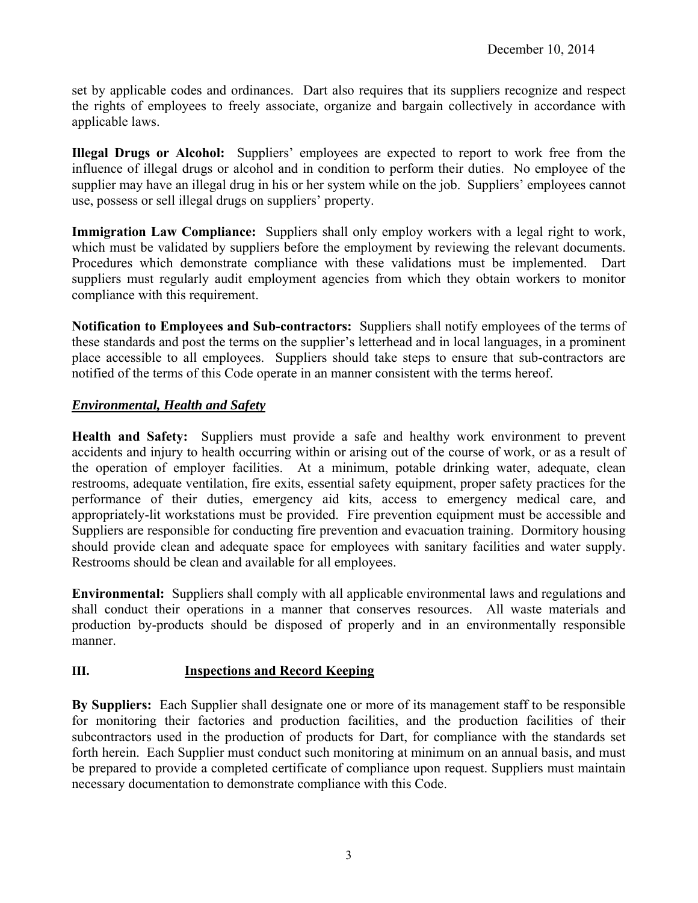set by applicable codes and ordinances. Dart also requires that its suppliers recognize and respect the rights of employees to freely associate, organize and bargain collectively in accordance with applicable laws.

**Illegal Drugs or Alcohol:** Suppliers' employees are expected to report to work free from the influence of illegal drugs or alcohol and in condition to perform their duties. No employee of the supplier may have an illegal drug in his or her system while on the job. Suppliers' employees cannot use, possess or sell illegal drugs on suppliers' property.

**Immigration Law Compliance:** Suppliers shall only employ workers with a legal right to work, which must be validated by suppliers before the employment by reviewing the relevant documents. Procedures which demonstrate compliance with these validations must be implemented. Dart suppliers must regularly audit employment agencies from which they obtain workers to monitor compliance with this requirement.

**Notification to Employees and Sub-contractors:** Suppliers shall notify employees of the terms of these standards and post the terms on the supplier's letterhead and in local languages, in a prominent place accessible to all employees. Suppliers should take steps to ensure that sub-contractors are notified of the terms of this Code operate in an manner consistent with the terms hereof.

## *Environmental, Health and Safety*

**Health and Safety:** Suppliers must provide a safe and healthy work environment to prevent accidents and injury to health occurring within or arising out of the course of work, or as a result of the operation of employer facilities. At a minimum, potable drinking water, adequate, clean restrooms, adequate ventilation, fire exits, essential safety equipment, proper safety practices for the performance of their duties, emergency aid kits, access to emergency medical care, and appropriately-lit workstations must be provided. Fire prevention equipment must be accessible and Suppliers are responsible for conducting fire prevention and evacuation training. Dormitory housing should provide clean and adequate space for employees with sanitary facilities and water supply. Restrooms should be clean and available for all employees.

**Environmental:** Suppliers shall comply with all applicable environmental laws and regulations and shall conduct their operations in a manner that conserves resources. All waste materials and production by-products should be disposed of properly and in an environmentally responsible manner.

# **III. Inspections and Record Keeping**

**By Suppliers:** Each Supplier shall designate one or more of its management staff to be responsible for monitoring their factories and production facilities, and the production facilities of their subcontractors used in the production of products for Dart, for compliance with the standards set forth herein. Each Supplier must conduct such monitoring at minimum on an annual basis, and must be prepared to provide a completed certificate of compliance upon request. Suppliers must maintain necessary documentation to demonstrate compliance with this Code.